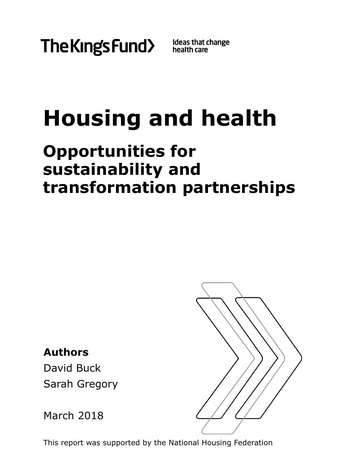

Ideas that change<br>health care

# **Housing and health**

# **Opportunities for sustainability and transformation partnerships**

**Authors** David Buck Sarah Gregory

March 2018



This report was supported by the National Housing Federation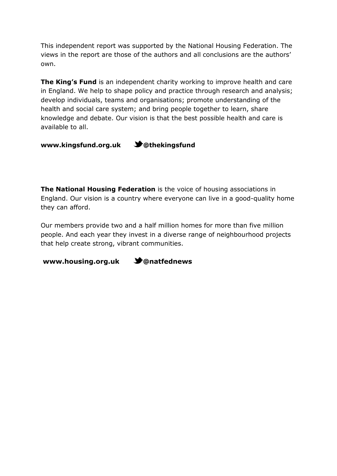This independent report was supported by the National Housing Federation. The views in the report are those of the authors and all conclusions are the authors' own.

**The King's Fund** is an independent charity working to improve health and care in England. We help to shape policy and practice through research and analysis; develop individuals, teams and organisations; promote understanding of the health and social care system; and bring people together to learn, share knowledge and debate. Our vision is that the best possible health and care is available to all.

**[www.kingsfund.org.uk](http://www.kingsfund.org.uk/) @thekingsfund**

**The National Housing Federation** is the voice of housing associations in England. Our vision is a country where everyone can live in a good-quality home they can afford.

Our members provide two and a half million homes for more than five million people. And each year they invest in a diverse range of neighbourhood projects that help create strong, vibrant communities.

**www.housing.org.uk @natfednews**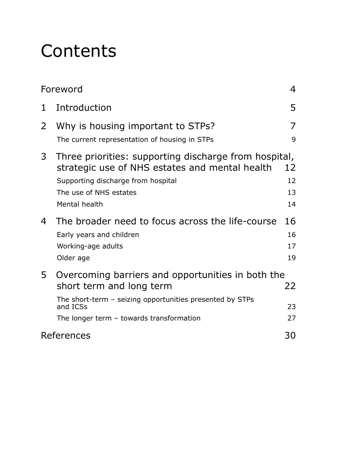# **Contents**

| Foreword    |                                                                                                                                                                                                     |                      |
|-------------|-----------------------------------------------------------------------------------------------------------------------------------------------------------------------------------------------------|----------------------|
| $\mathbf 1$ | Introduction                                                                                                                                                                                        | 5                    |
| 2           | Why is housing important to STPs?                                                                                                                                                                   | 7                    |
|             | The current representation of housing in STPs                                                                                                                                                       | 9                    |
| 3           | Three priorities: supporting discharge from hospital,<br>strategic use of NHS estates and mental health<br>Supporting discharge from hospital<br>The use of NHS estates<br>Mental health            | 12<br>12<br>13<br>14 |
| 4           | The broader need to focus across the life-course<br>Early years and children<br>Working-age adults                                                                                                  | 16<br>16             |
|             | Older age                                                                                                                                                                                           | 17<br>19             |
| 5           | Overcoming barriers and opportunities in both the<br>short term and long term<br>The short-term - seizing opportunities presented by STPs<br>and ICSs<br>The longer term $-$ towards transformation | 22<br>23<br>27       |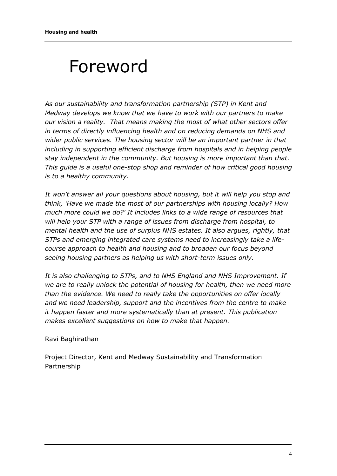# <span id="page-3-0"></span>Foreword

*As our sustainability and transformation partnership (STP) in Kent and Medway develops we know that we have to work with our partners to make our vision a reality. That means making the most of what other sectors offer in terms of directly influencing health and on reducing demands on NHS and wider public services. The housing sector will be an important partner in that including in supporting efficient discharge from hospitals and in helping people stay independent in the community. But housing is more important than that. This guide is a useful one-stop shop and reminder of how critical good housing is to a healthy community.* 

*It won't answer all your questions about housing, but it will help you stop and think, 'Have we made the most of our partnerships with housing locally? How much more could we do?' It includes links to a wide range of resources that will help your STP with a range of issues from discharge from hospital, to mental health and the use of surplus NHS estates. It also argues, rightly, that STPs and emerging integrated care systems need to increasingly take a lifecourse approach to health and housing and to broaden our focus beyond seeing housing partners as helping us with short-term issues only.*

*It is also challenging to STPs, and to NHS England and NHS Improvement. If we are to really unlock the potential of housing for health, then we need more than the evidence. We need to really take the opportunities on offer locally and we need leadership, support and the incentives from the centre to make it happen faster and more systematically than at present. This publication makes excellent suggestions on how to make that happen.*

#### Ravi Baghirathan

Project Director, Kent and Medway Sustainability and Transformation Partnership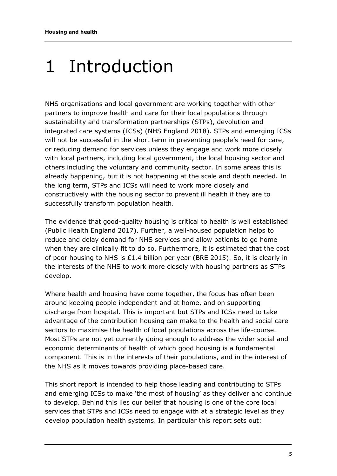# <span id="page-4-0"></span>1 Introduction

NHS organisations and local government are working together with other partners to improve health and care for their local populations through sustainability and transformation partnerships (STPs), devolution and integrated care systems (ICSs) (NHS England 2018). STPs and emerging ICSs will not be successful in the short term in preventing people's need for care, or reducing demand for services unless they engage and work more closely with local partners, including local government, the local housing sector and others including the voluntary and community sector. In some areas this is already happening, but it is not happening at the scale and depth needed. In the long term, STPs and ICSs will need to work more closely and constructively with the housing sector to prevent ill health if they are to successfully transform population health.

The evidence that good-quality housing is critical to health is well established (Public Health England 2017). Further, a well-housed population helps to reduce and delay demand for NHS services and allow patients to go home when they are clinically fit to do so. Furthermore, it is estimated that the cost of poor housing to NHS is £1.4 billion per year (BRE 2015). So, it is clearly in the interests of the NHS to work more closely with housing partners as STPs develop.

Where health and housing have come together, the focus has often been around keeping people independent and at home, and on supporting discharge from hospital. This is important but STPs and ICSs need to take advantage of the contribution housing can make to the health and social care sectors to maximise the health of local populations across the life-course. Most STPs are not yet currently doing enough to address the wider social and economic determinants of health of which good housing is a fundamental component. This is in the interests of their populations, and in the interest of the NHS as it moves towards providing place-based care.

This short report is intended to help those leading and contributing to STPs and emerging ICSs to make 'the most of housing' as they deliver and continue to develop. Behind this lies our belief that housing is one of the core local services that STPs and ICSs need to engage with at a strategic level as they develop population health systems. In particular this report sets out: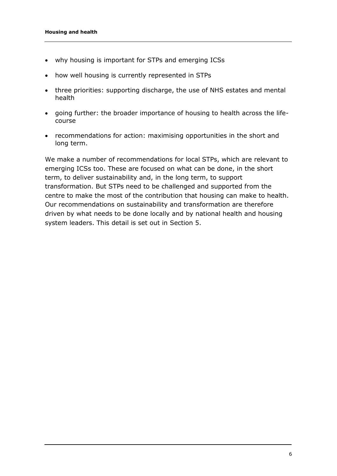- why housing is important for STPs and emerging ICSs
- how well housing is currently represented in STPs
- three priorities: supporting discharge, the use of NHS estates and mental health
- going further: the broader importance of housing to health across the lifecourse
- recommendations for action: maximising opportunities in the short and long term.

We make a number of recommendations for local STPs, which are relevant to emerging ICSs too. These are focused on what can be done, in the short term, to deliver sustainability and, in the long term, to support transformation. But STPs need to be challenged and supported from the centre to make the most of the contribution that housing can make to health. Our recommendations on sustainability and transformation are therefore driven by what needs to be done locally and by national health and housing system leaders. This detail is set out in Section 5.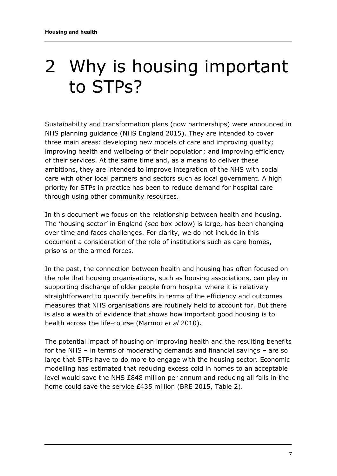# <span id="page-6-0"></span>2 Why is housing important to STPs?

Sustainability and transformation plans (now partnerships) were announced in NHS planning guidance (NHS England 2015). They are intended to cover three main areas: developing new models of care and improving quality; improving health and wellbeing of their population; and improving efficiency of their services. At the same time and, as a means to deliver these ambitions, they are intended to improve integration of the NHS with social care with other local partners and sectors such as local government. A high priority for STPs in practice has been to reduce demand for hospital care through using other community resources.

In this document we focus on the relationship between health and housing. The 'housing sector' in England (*see* box below) is large, has been changing over time and faces challenges. For clarity, we do not include in this document a consideration of the role of institutions such as care homes, prisons or the armed forces.

In the past, the connection between health and housing has often focused on the role that housing organisations, such as housing associations, can play in supporting discharge of older people from hospital where it is relatively straightforward to quantify benefits in terms of the efficiency and outcomes measures that NHS organisations are routinely held to account for. But there is also a wealth of evidence that shows how important good housing is to health across the life-course (Marmot *et al* 2010).

The potential impact of housing on improving health and the resulting benefits for the NHS – in terms of moderating demands and financial savings – are so large that STPs have to do more to engage with the housing sector. Economic modelling has estimated that reducing excess cold in homes to an acceptable level would save the NHS £848 million per annum and reducing all falls in the home could save the service £435 million (BRE 2015, Table 2).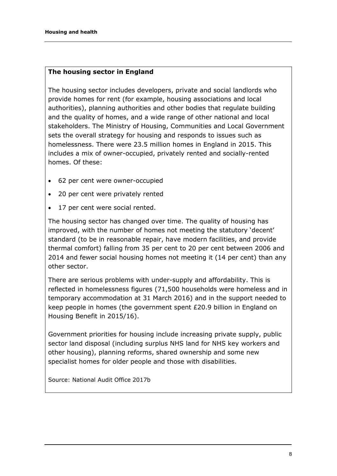#### **The housing sector in England**

The housing sector includes developers, private and social landlords who provide homes for rent (for example, housing associations and local authorities), planning authorities and other bodies that regulate building and the quality of homes, and a wide range of other national and local stakeholders. The Ministry of Housing, Communities and Local Government sets the overall strategy for housing and responds to issues such as homelessness. There were 23.5 million homes in England in 2015. This includes a mix of owner-occupied, privately rented and socially-rented homes. Of these:

- 62 per cent were owner-occupied
- 20 per cent were privately rented
- 17 per cent were social rented.

The housing sector has changed over time. The quality of housing has improved, with the number of homes not meeting the statutory 'decent' standard (to be in reasonable repair, have modern facilities, and provide thermal comfort) falling from 35 per cent to 20 per cent between 2006 and 2014 and fewer social housing homes not meeting it (14 per cent) than any other sector.

There are serious problems with under-supply and affordability. This is reflected in homelessness figures (71,500 households were homeless and in temporary accommodation at 31 March 2016) and in the support needed to keep people in homes (the government spent £20.9 billion in England on Housing Benefit in 2015/16).

Government priorities for housing include increasing private supply, public sector land disposal (including surplus NHS land for NHS key workers and other housing), planning reforms, shared ownership and some new specialist homes for older people and those with disabilities.

Source: National Audit Office 2017b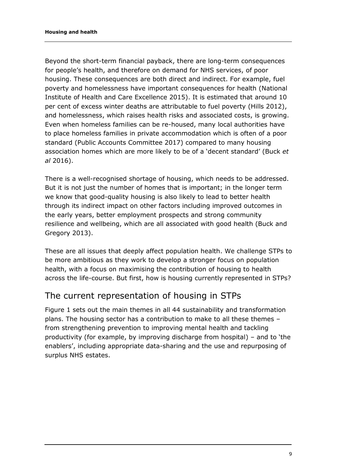Beyond the short-term financial payback, there are long-term consequences for people's health, and therefore on demand for NHS services, of poor housing. These consequences are both direct and indirect. For example, fuel poverty and homelessness have important consequences for health (National Institute of Health and Care Excellence 2015). It is estimated that around 10 per cent of excess winter deaths are attributable to fuel poverty (Hills 2012), and homelessness, which raises health risks and associated costs, is growing. Even when homeless families can be re-housed, many local authorities have to place homeless families in private accommodation which is often of a poor standard (Public Accounts Committee 2017) compared to many housing association homes which are more likely to be of a 'decent standard' (Buck *et al* 2016).

There is a well-recognised shortage of housing, which needs to be addressed. But it is not just the number of homes that is important; in the longer term we know that good-quality housing is also likely to lead to better health through its indirect impact on other factors including improved outcomes in the early years, better employment prospects and strong community resilience and wellbeing, which are all associated with good health (Buck and Gregory 2013).

These are all issues that deeply affect population health. We challenge STPs to be more ambitious as they work to develop a stronger focus on population health, with a focus on maximising the contribution of housing to health across the life-course. But first, how is housing currently represented in STPs?

### <span id="page-8-0"></span>The current representation of housing in STPs

Figure 1 sets out the main themes in all 44 sustainability and transformation plans. The housing sector has a contribution to make to all these themes – from strengthening prevention to improving mental health and tackling productivity (for example, by improving discharge from hospital) – and to 'the enablers', including appropriate data-sharing and the use and repurposing of surplus NHS estates.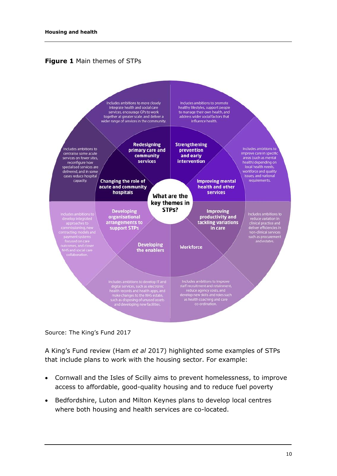



Source: The King's Fund 2017

A King's Fund review (Ham *et al* 2017) highlighted some examples of STPs that include plans to work with the housing sector. For example:

- Cornwall and the Isles of Scilly aims to prevent homelessness, to improve access to affordable, good-quality housing and to reduce fuel poverty
- Bedfordshire, Luton and Milton Keynes plans to develop local centres where both housing and health services are co-located.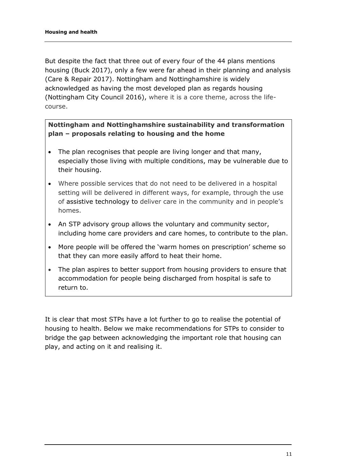But despite the fact that three out of every four of the 44 plans mentions housing (Buck 2017), only a few were far ahead in their planning and analysis (Care & Repair 2017). Nottingham and Nottinghamshire is widely acknowledged as having the most developed plan as regards housing (Nottingham City Council 2016), where it is a core theme, across the lifecourse.

#### **Nottingham and Nottinghamshire sustainability and transformation plan – proposals relating to housing and the home**

- The plan recognises that people are living longer and that many, especially those living with multiple conditions, may be vulnerable due to their housing.
- Where possible services that do not need to be delivered in a hospital setting will be delivered in different ways, for example, through the use of assistive technology to deliver care in the community and in people's homes.
- An STP advisory group allows the voluntary and community sector, including home care providers and care homes, to contribute to the plan.
- More people will be offered the 'warm homes on prescription' scheme so that they can more easily afford to heat their home.
- The plan aspires to better support from housing providers to ensure that accommodation for people being discharged from hospital is safe to return to.

It is clear that most STPs have a lot further to go to realise the potential of housing to health. Below we make recommendations for STPs to consider to bridge the gap between acknowledging the important role that housing can play, and acting on it and realising it.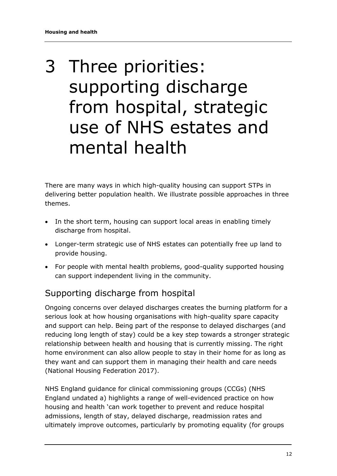# <span id="page-11-0"></span>3 Three priorities: supporting discharge from hospital, strategic use of NHS estates and mental health

There are many ways in which high-quality housing can support STPs in delivering better population health. We illustrate possible approaches in three themes.

- In the short term, housing can support local areas in enabling timely discharge from hospital.
- Longer-term strategic use of NHS estates can potentially free up land to provide housing.
- For people with mental health problems, good-quality supported housing can support independent living in the community.

### <span id="page-11-1"></span>Supporting discharge from hospital

Ongoing concerns over delayed discharges creates the burning platform for a serious look at how housing organisations with high-quality spare capacity and support can help. Being part of the response to delayed discharges (and reducing long length of stay) could be a key step towards a stronger strategic relationship between health and housing that is currently missing. The right home environment can also allow people to stay in their home for as long as they want and can support them in managing their health and care needs (National Housing Federation 2017).

NHS England guidance for clinical commissioning groups (CCGs) [\(NHS](https://www.nhs.uk/NHSEngland/keogh-review/Documents/quick-guides/Quick-Guide-health-and-housing.pdf)  [England undated](https://www.nhs.uk/NHSEngland/keogh-review/Documents/quick-guides/Quick-Guide-health-and-housing.pdf) a) highlights a range of well-evidenced practice on how housing and health 'can work together to prevent and reduce hospital admissions, length of stay, delayed discharge, readmission rates and ultimately improve outcomes, particularly by promoting equality (for groups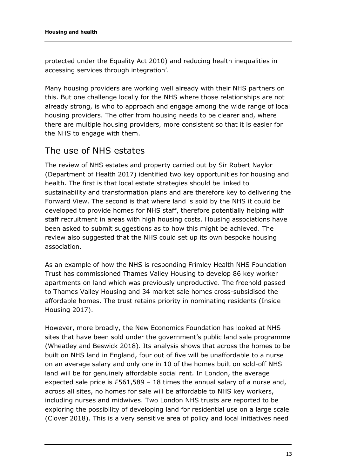protected under the Equality Act 2010) and reducing health inequalities in accessing services through integration'.

Many housing providers are working well already with their NHS partners on this. But one challenge locally for the NHS where those relationships are not already strong, is who to approach and engage among the wide range of local housing providers. The offer from housing needs to be clearer and, where there are multiple housing providers, more consistent so that it is easier for the NHS to engage with them.

### <span id="page-12-0"></span>The use of NHS estates

The review of NHS estates and property carried out by Sir Robert Naylor (Department of Health 2017) identified two key opportunities for housing and health. The first is that local estate strategies should be linked to sustainability and transformation plans and are therefore key to delivering the Forward View. The second is that where land is sold by the NHS it could be developed to provide homes for NHS staff, therefore potentially helping with staff recruitment in areas with high housing costs. Housing associations have been asked to submit suggestions as to how this might be achieved. The review also suggested that the NHS could set up its own bespoke housing association.

As an example of how the NHS is responding Frimley Health NHS Foundation Trust has commissioned Thames Valley Housing to develop 86 key worker apartments on land which was previously unproductive. The freehold passed to Thames Valley Housing and 34 market sale homes cross-subsidised the affordable homes. The trust retains priority in nominating residents (Inside Housing 2017).

However, more broadly, the New Economics Foundation has looked at NHS sites that have been sold under the government's public land sale programme (Wheatley and Beswick 2018). Its analysis shows that across the homes to be built on NHS land in England, four out of five will be unaffordable to a nurse on an average salary and only one in 10 of the homes built on sold-off NHS land will be for genuinely affordable social rent. In London, the average expected sale price is £561,589 – 18 times the annual salary of a nurse and, across all sites, no homes for sale will be affordable to NHS key workers, including nurses and midwives. Two London NHS trusts are reported to be exploring the possibility of developing land for residential use on a large scale (Clover 2018). This is a very sensitive area of policy and local initiatives need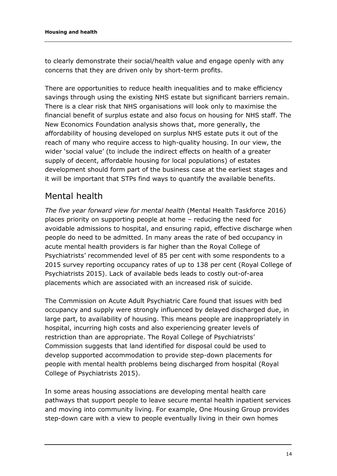to clearly demonstrate their social/health value and engage openly with any concerns that they are driven only by short-term profits.

There are opportunities to reduce health inequalities and to make efficiency savings through using the existing NHS estate but significant barriers remain. There is a clear risk that NHS organisations will look only to maximise the financial benefit of surplus estate and also focus on housing for NHS staff. The New Economics Foundation analysis shows that, more generally, the affordability of housing developed on surplus NHS estate puts it out of the reach of many who require access to high-quality housing. In our view, the wider 'social value' (to include the indirect effects on health of a greater supply of decent, affordable housing for local populations) of estates development should form part of the business case at the earliest stages and it will be important that STPs find ways to quantify the available benefits.

### <span id="page-13-0"></span>Mental health

*The five year forward view for mental health* (Mental Health Taskforce 2016) places priority on supporting people at home – reducing the need for avoidable admissions to hospital, and ensuring rapid, effective discharge when people do need to be admitted. In many areas the rate of bed occupancy in acute mental health providers is far higher than the Royal College of Psychiatrists' recommended level of 85 per cent with some respondents to a 2015 survey reporting occupancy rates of up to 138 per cent (Royal College of Psychiatrists 2015). Lack of available beds leads to costly out-of-area placements which are associated with an increased risk of suicide.

The Commission on Acute Adult Psychiatric Care found that issues with bed occupancy and supply were strongly influenced by delayed discharged due, in large part, to availability of housing. This means people are inappropriately in hospital, incurring high costs and also experiencing greater levels of restriction than are appropriate. The Royal College of Psychiatrists' Commission suggests that land identified for disposal could be used to develop supported accommodation to provide step-down placements for people with mental health problems being discharged from hospital (Royal College of Psychiatrists 2015).

In some areas housing associations are developing mental health care pathways that support people to leave secure mental health inpatient services and moving into community living. For example, One Housing Group provides step-down care with a view to people eventually living in their own homes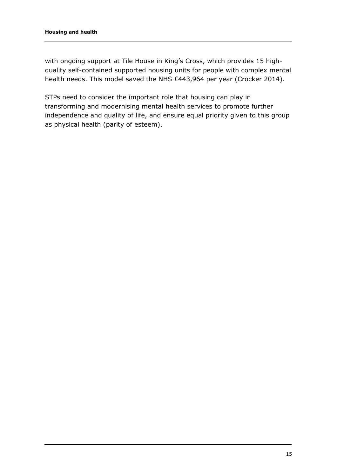with ongoing support at Tile House in King's Cross, which provides 15 highquality self-contained supported housing units for people with complex mental health needs. This model saved the NHS £443,964 per year (Crocker 2014).

STPs need to consider the important role that housing can play in transforming and modernising mental health services to promote further independence and quality of life, and ensure equal priority given to this group as physical health (parity of esteem).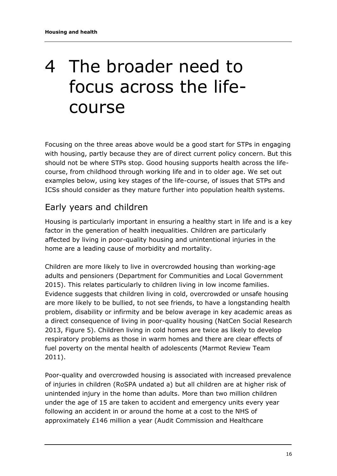# <span id="page-15-0"></span>4 The broader need to focus across the lifecourse

Focusing on the three areas above would be a good start for STPs in engaging with housing, partly because they are of direct current policy concern. But this should not be where STPs stop. Good housing supports health across the lifecourse, from childhood through working life and in to older age. We set out examples below, using key stages of the life-course, of issues that STPs and ICSs should consider as they mature further into population health systems.

### <span id="page-15-1"></span>Early years and children

Housing is particularly important in ensuring a healthy start in life and is a key factor in the generation of health inequalities. Children are particularly affected by living in poor-quality housing and unintentional injuries in the home are a leading cause of morbidity and mortality.

Children are more likely to live in overcrowded housing than working-age adults and pensioners (Department for Communities and Local Government 2015). This relates particularly to children living in low income families. Evidence suggests that children living in cold, overcrowded or unsafe housing are more likely to be bullied, to not see friends, to have a longstanding health problem, disability or infirmity and be below average in key academic areas as a direct consequence of living in poor-quality housing (NatCen Social Research 2013, Figure 5). Children living in cold homes are twice as likely to develop respiratory problems as those in warm homes and there are clear effects of fuel poverty on the mental health of adolescents (Marmot Review Team 2011).

Poor-quality and overcrowded housing is associated with increased prevalence of injuries in children (RoSPA undated a) but all children are at higher risk of unintended injury in the home than adults. More than two million children under the age of 15 are taken to accident and emergency units every year following an accident in or around the home at a cost to the NHS of approximately £146 million a year (Audit Commission and Healthcare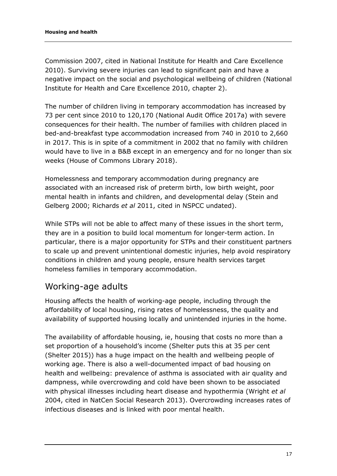Commission 2007, cited in National Institute for Health and Care Excellence 2010). Surviving severe injuries can lead to significant pain and have a negative impact on the social and psychological wellbeing of children (National Institute for Health and Care Excellence 2010, chapter 2).

The number of children living in temporary accommodation has increased by 73 per cent since 2010 to 120,170 (National Audit Office 2017a) with severe consequences for their health. The number of families with children placed in bed-and-breakfast type accommodation increased from 740 in 2010 to 2,660 in 2017. This is in spite of a commitment in 2002 that no family with children would have to live in a B&B except in an emergency and for no longer than six weeks (House of Commons Library 2018).

Homelessness and temporary accommodation during pregnancy are associated with an increased risk of preterm birth, low birth weight, poor mental health in infants and children, and developmental delay (Stein and Gelberg 2000; Richards *et al* 2011, cited in NSPCC undated).

While STPs will not be able to affect many of these issues in the short term, they are in a position to build local momentum for longer-term action. In particular, there is a major opportunity for STPs and their constituent partners to scale up and prevent unintentional domestic injuries, help avoid respiratory conditions in children and young people, ensure health services target homeless families in temporary accommodation.

### <span id="page-16-0"></span>Working-age adults

Housing affects the health of working-age people, including through the affordability of local housing, rising rates of homelessness, the quality and availability of supported housing locally and unintended injuries in the home.

The availability of affordable housing, ie, housing that costs no more than a set proportion of a household's income (Shelter puts this at 35 per cent (Shelter 2015)) has a huge impact on the health and wellbeing people of working age. There is also a well-documented impact of bad housing on health and wellbeing: prevalence of asthma is associated with air quality and dampness, while overcrowding and cold have been shown to be associated with physical illnesses including heart disease and hypothermia (Wright *et al* 2004, cited in NatCen Social Research 2013). Overcrowding increases rates of infectious diseases and is linked with poor mental health.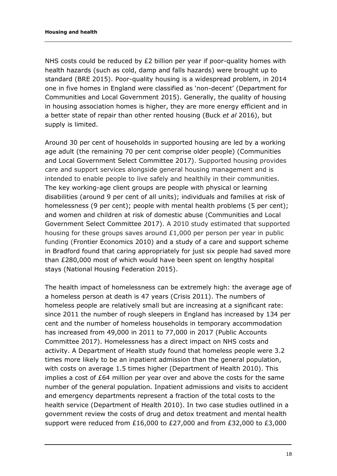NHS costs could be reduced by £2 billion per year if poor-quality homes with health hazards (such as cold, damp and falls hazards) were brought up to standard (BRE 2015). Poor-quality housing is a widespread problem, in 2014 one in five homes in England were classified as 'non-decent' (Department for Communities and Local Government 2015). Generally, the quality of housing in housing association homes is higher, they are more energy efficient and in a better state of repair than other rented housing (Buck *et al* 2016), but supply is limited.

Around 30 per cent of households in supported housing are led by a working age adult (the remaining 70 per cent comprise older people) (Communities and Local Government Select Committee 2017). Supported housing provides care and support services alongside general housing management and is intended to enable people to live safely and healthily in their communities. The key working-age client groups are people with physical or learning disabilities (around 9 per cent of all units); individuals and families at risk of homelessness (9 per cent); people with mental health problems (5 per cent); and women and children at risk of domestic abuse (Communities and Local Government Select Committee 2017). A 2010 study estimated that supported housing for these groups saves around £1,000 per person per year in public funding (Frontier Economics 2010) and a study of a care and support scheme in Bradford found that caring appropriately for just six people had saved more than £280,000 most of which would have been spent on lengthy hospital stays (National Housing Federation 2015).

The health impact of homelessness can be extremely high: the average age of a homeless person at death is 47 years (Crisis 2011). The numbers of homeless people are relatively small but are increasing at a significant rate: since 2011 the number of rough sleepers in England has increased by 134 per cent and the number of homeless households in temporary accommodation has increased from 49,000 in 2011 to 77,000 in 2017 (Public Accounts Committee 2017). Homelessness has a direct impact on NHS costs and activity. A Department of Health study found that homeless people were 3.2 times more likely to be an inpatient admission than the general population, with costs on average 1.5 times higher (Department of Health 2010). This implies a cost of £64 million per year over and above the costs for the same number of the general population. Inpatient admissions and visits to accident and emergency departments represent a fraction of the total costs to the health service (Department of Health 2010). In two case studies outlined in a government review the costs of drug and detox treatment and mental health support were reduced from £16,000 to £27,000 and from £32,000 to £3,000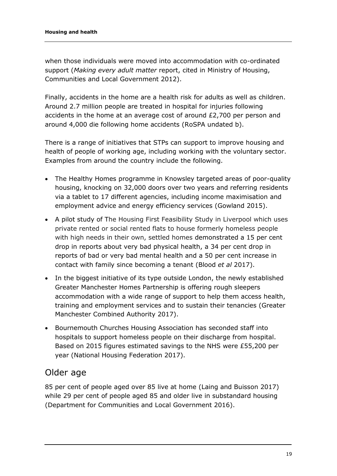when those individuals were moved into accommodation with co-ordinated support (*Making every adult matter* report, cited in [Ministry of Housing,](https://www.gov.uk/government/organisations/ministry-of-housing-communities-and-local-government)  Communities and [Local Government](https://www.gov.uk/government/organisations/ministry-of-housing-communities-and-local-government) 2012).

Finally, accidents in the home are a health risk for adults as well as children. Around 2.7 million people are treated in hospital for injuries following accidents in the home at an average cost of around £2,700 per person and around 4,000 die following home accidents (RoSPA undated b).

There is a range of initiatives that STPs can support to improve housing and health of people of working age, including working with the voluntary sector. Examples from around the country include the following.

- The Healthy Homes programme in Knowsley targeted areas of poor-quality housing, knocking on 32,000 doors over two years and referring residents via a tablet to 17 different agencies, including income maximisation and employment advice and energy efficiency services (Gowland 2015).
- A pilot study of The Housing First Feasibility Study in Liverpool which uses private rented or social rented flats to house formerly homeless people with high needs in their own, settled homes demonstrated a 15 per cent drop in reports about very bad physical health, a 34 per cent drop in reports of bad or very bad mental health and a 50 per cent increase in contact with family since becoming a tenant (Blood *et al* 2017).
- In the biggest initiative of its type outside London, the newly established Greater Manchester Homes Partnership is offering rough sleepers accommodation with a wide range of support to help them access health, training and employment services and to sustain their tenancies (Greater Manchester Combined Authority 2017).
- Bournemouth Churches Housing Association has seconded staff into hospitals to support homeless people on their discharge from hospital. Based on 2015 figures estimated savings to the NHS were £55,200 per year (National Housing Federation 2017).

### <span id="page-18-0"></span>Older age

85 per cent of people aged over 85 live at home (Laing and Buisson 2017) while 29 per cent of people aged 85 and older live in substandard housing (Department for Communities and Local Government 2016).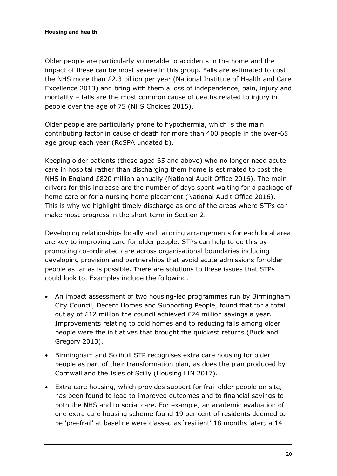Older people are particularly vulnerable to accidents in the home and the impact of these can be most severe in this group. Falls are estimated to cost the NHS more than £2.3 billion per year (National Institute of Health and Care Excellence 2013) and bring with them a loss of independence, pain, injury and mortality – falls are the most common cause of deaths related to injury in people over the age of 75 (NHS Choices 2015).

Older people are particularly prone to hypothermia, which is the main contributing factor in cause of death for more than 400 people in the over-65 age group each year [\(RoSPA undated b\).](https://www.rospa.com/home-safety/advice/older-people/)

Keeping older patients (those aged 65 and above) who no longer need acute care in hospital rather than discharging them home is estimated to cost the NHS in England £820 million annually (National Audit Office 2016). The main drivers for this increase are the number of days spent waiting for a package of home care or for a nursing home placement (National Audit Office 2016). This is why we highlight timely discharge as one of the areas where STPs can make most progress in the short term in Section 2.

Developing relationships locally and tailoring arrangements for each local area are key to improving care for older people. STPs can help to do this by promoting co-ordinated care across organisational boundaries including developing provision and partnerships that avoid acute admissions for older people as far as is possible. There are solutions to these issues that STPs could look to. Examples include the following.

- An impact assessment of two housing-led programmes run by Birmingham City Council, Decent Homes and Supporting People, found that for a total outlay of £12 million the council achieved £24 million savings a year. Improvements relating to cold homes and to reducing falls among older people were the initiatives that brought the quickest returns (Buck and Gregory 2013).
- Birmingham and Solihull STP recognises extra care housing for older people as part of their transformation plan, as does the plan produced by Cornwall and the Isles of Scilly (Housing LIN 2017).
- Extra care housing, which provides support for frail older people on site, has been found to lead to improved outcomes and to financial savings to both the NHS and to social care. For example, an academic evaluation of one extra care housing scheme found 19 per cent of residents deemed to be 'pre-frail' at baseline were classed as 'resilient' 18 months later; a 14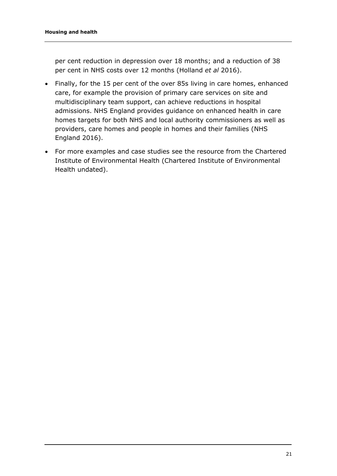per cent reduction in depression over 18 months; and a reduction of 38 per cent in NHS costs over 12 months (Holland *et al* 2016).

- Finally, for the 15 per cent of the over 85s living in care homes, enhanced care, for example the provision of primary care services on site and multidisciplinary team support, can achieve reductions in hospital admissions. NHS England provides guidance on enhanced health in care homes targets for both NHS and local authority commissioners as well as providers, care homes and people in homes and their families (NHS England 2016).
- For more examples and case studies see the resource from the Chartered Institute of Environmental Health (Chartered Institute of Environmental Health undated).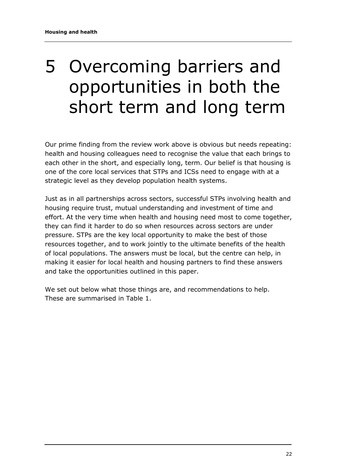# <span id="page-21-0"></span>5 Overcoming barriers and opportunities in both the short term and long term

Our prime finding from the review work above is obvious but needs repeating: health and housing colleagues need to recognise the value that each brings to each other in the short, and especially long, term. Our belief is that housing is one of the core local services that STPs and ICSs need to engage with at a strategic level as they develop population health systems.

Just as in all partnerships across sectors, successful STPs involving health and housing require trust, mutual understanding and investment of time and effort. At the very time when health and housing need most to come together, they can find it harder to do so when resources across sectors are under pressure. STPs are the key local opportunity to make the best of those resources together, and to work jointly to the ultimate benefits of the health of local populations. The answers must be local, but the centre can help, in making it easier for local health and housing partners to find these answers and take the opportunities outlined in this paper.

We set out below what those things are, and recommendations to help. These are summarised in Table 1.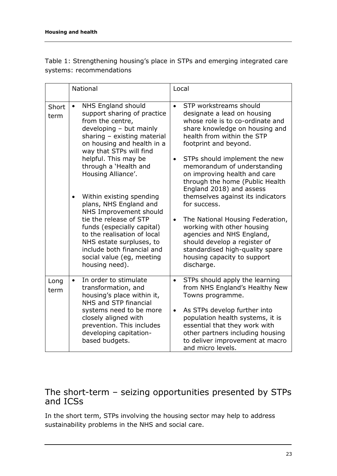Table 1: Strengthening housing's place in STPs and emerging integrated care systems: recommendations

|               | National                                                                                                                                                                                                | Local                                                                                                                                                                                                                    |
|---------------|---------------------------------------------------------------------------------------------------------------------------------------------------------------------------------------------------------|--------------------------------------------------------------------------------------------------------------------------------------------------------------------------------------------------------------------------|
| Short<br>term | NHS England should<br>$\bullet$<br>support sharing of practice<br>from the centre,<br>developing - but mainly<br>sharing $-$ existing material<br>on housing and health in a<br>way that STPs will find | STP workstreams should<br>$\bullet$<br>designate a lead on housing<br>whose role is to co-ordinate and<br>share knowledge on housing and<br>health from within the STP<br>footprint and beyond.                          |
|               | helpful. This may be<br>through a 'Health and<br>Housing Alliance'.                                                                                                                                     | STPs should implement the new<br>$\bullet$<br>memorandum of understanding<br>on improving health and care<br>through the home (Public Health<br>England 2018) and assess                                                 |
|               | Within existing spending<br>plans, NHS England and<br>NHS Improvement should                                                                                                                            | themselves against its indicators<br>for success.                                                                                                                                                                        |
|               | tie the release of STP<br>funds (especially capital)<br>to the realisation of local<br>NHS estate surpluses, to<br>include both financial and<br>social value (eg, meeting<br>housing need).            | The National Housing Federation,<br>$\bullet$<br>working with other housing<br>agencies and NHS England,<br>should develop a register of<br>standardised high-quality spare<br>housing capacity to support<br>discharge. |
| Long<br>term  | In order to stimulate<br>transformation, and<br>housing's place within it,<br>NHS and STP financial                                                                                                     | STPs should apply the learning<br>$\bullet$<br>from NHS England's Healthy New<br>Towns programme.                                                                                                                        |
|               | systems need to be more<br>closely aligned with<br>prevention. This includes<br>developing capitation-<br>based budgets.                                                                                | As STPs develop further into<br>$\bullet$<br>population health systems, it is<br>essential that they work with<br>other partners including housing<br>to deliver improvement at macro<br>and micro levels.               |

#### <span id="page-22-0"></span>The short-term – seizing opportunities presented by STPs and ICSs

In the short term, STPs involving the housing sector may help to address sustainability problems in the NHS and social care.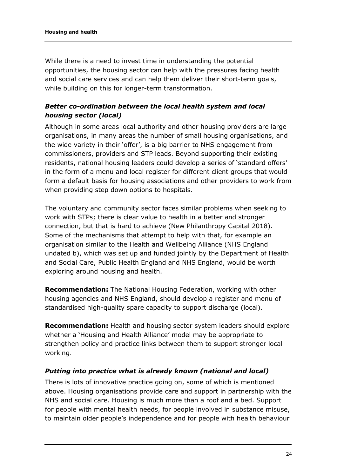While there is a need to invest time in understanding the potential opportunities, the housing sector can help with the pressures facing health and social care services and can help them deliver their short-term goals, while building on this for longer-term transformation.

#### *Better co-ordination between the local health system and local housing sector (local)*

Although in some areas local authority and other housing providers are large organisations, in many areas the number of small housing organisations, and the wide variety in their 'offer', is a big barrier to NHS engagement from commissioners, providers and STP leads. Beyond supporting their existing residents, national housing leaders could develop a series of 'standard offers' in the form of a menu and local register for different client groups that would form a default basis for housing associations and other providers to work from when providing step down options to hospitals.

The voluntary and community sector faces similar problems when seeking to work with STPs; there is clear value to health in a better and stronger connection, but that is hard to achieve (New Philanthropy Capital 2018). Some of the mechanisms that attempt to help with that, for example an organisation similar to the Health and Wellbeing Alliance (NHS England undated b), which was set up and funded jointly by the Department of Health and Social Care, Public Health England and NHS England, would be worth exploring around housing and health.

**Recommendation:** The National Housing Federation, working with other housing agencies and NHS England, should develop a register and menu of standardised high-quality spare capacity to support discharge (local).

**Recommendation:** Health and housing sector system leaders should explore whether a 'Housing and Health Alliance' model may be appropriate to strengthen policy and practice links between them to support stronger local working.

#### *Putting into practice what is already known (national and local)*

There is lots of innovative practice going on, some of which is mentioned above. Housing organisations provide care and support in partnership with the NHS and social care. Housing is much more than a roof and a bed. Support for people with mental health needs, for people involved in substance misuse, to maintain older people's independence and for people with health behaviour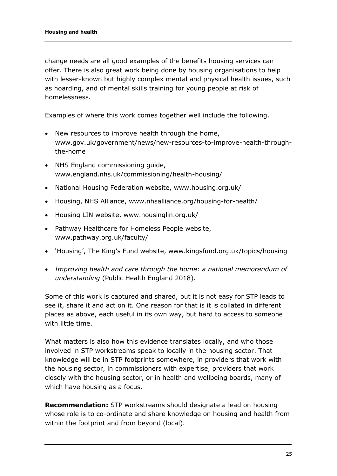change needs are all good examples of the benefits housing services can offer. There is also great work being done by housing organisations to help with lesser-known but highly complex mental and physical health issues, such as hoarding, and of mental skills training for young people at risk of homelessness.

Examples of where this work comes together well include the following.

- New resources to improve health through the home, www.gov.uk/government/news/new-resources-to-improve-health-throughthe-home
- NHS England commissioning guide, www.england.nhs.uk/commissioning/health-housing/
- National Housing Federation website, www.housing.org.uk/
- Housing, NHS Alliance, www.nhsalliance.org/housing-for-health/
- Housing LIN website, www.housinglin.org.uk/
- Pathway Healthcare for Homeless People website, www.pathway.org.uk/faculty/
- 'Housing', The King's Fund website, [www.kingsfund.org.uk/topics/housing](http://www.kingsfund.org.uk/topics/housing)
- *Improving health and care through the home: a national memorandum of understanding* (Public Health England 2018).

Some of this work is captured and shared, but it is not easy for STP leads to see it, share it and act on it. One reason for that is it is collated in different places as above, each useful in its own way, but hard to access to someone with little time.

What matters is also how this evidence translates locally, and who those involved in STP workstreams speak to locally in the housing sector. That knowledge will be in STP footprints somewhere, in providers that work with the housing sector, in commissioners with expertise, providers that work closely with the housing sector, or in health and wellbeing boards, many of which have housing as a focus.

**Recommendation:** STP workstreams should designate a lead on housing whose role is to co-ordinate and share knowledge on housing and health from within the footprint and from beyond (local).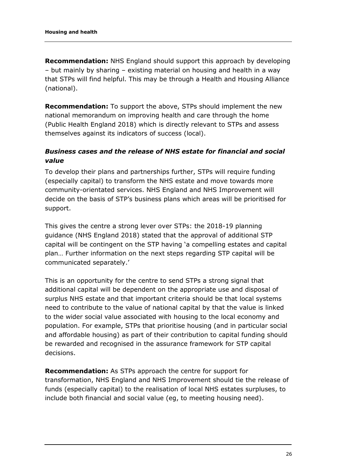**Recommendation:** NHS England should support this approach by developing – but mainly by sharing – existing material on housing and health in a way that STPs will find helpful. This may be through a Health and Housing Alliance (national).

**Recommendation:** To support the above, STPs should implement the new national memorandum on improving health and care through the home (Public Health England 2018) which is directly relevant to STPs and assess themselves against its indicators of success (local).

#### *Business cases and the release of NHS estate for financial and social value*

To develop their plans and partnerships further, STPs will require funding (especially capital) to transform the NHS estate and move towards more community-orientated services. NHS England and NHS Improvement will decide on the basis of STP's business plans which areas will be prioritised for support.

This gives the centre a strong lever over STPs: the 2018-19 planning guidance (NHS England 2018) stated that the approval of additional STP capital will be contingent on the STP having 'a compelling estates and capital plan… Further information on the next steps regarding STP capital will be communicated separately.'

This is an opportunity for the centre to send STPs a strong signal that additional capital will be dependent on the appropriate use and disposal of surplus NHS estate and that important criteria should be that local systems need to contribute to the value of national capital by that the value is linked to the wider social value associated with housing to the local economy and population. For example, STPs that prioritise housing (and in particular social and affordable housing) as part of their contribution to capital funding should be rewarded and recognised in the assurance framework for STP capital decisions.

**Recommendation:** As STPs approach the centre for support for transformation, NHS England and NHS Improvement should tie the release of funds (especially capital) to the realisation of local NHS estates surpluses, to include both financial and social value (eg, to meeting housing need).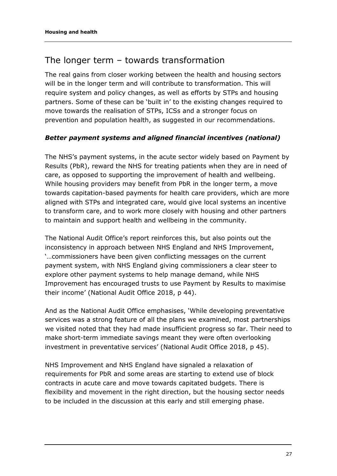### <span id="page-26-0"></span>The longer term – towards transformation

The real gains from closer working between the health and housing sectors will be in the longer term and will contribute to transformation. This will require system and policy changes, as well as efforts by STPs and housing partners. Some of these can be 'built in' to the existing changes required to move towards the realisation of STPs, ICSs and a stronger focus on prevention and population health, as suggested in our recommendations.

#### *Better payment systems and aligned financial incentives (national)*

The NHS's payment systems, in the acute sector widely based on Payment by Results (PbR), reward the NHS for treating patients when they are in need of care, as opposed to supporting the improvement of health and wellbeing. While housing providers may benefit from PbR in the longer term, a move towards capitation-based payments for health care providers, which are more aligned with STPs and integrated care, would give local systems an incentive to transform care, and to work more closely with housing and other partners to maintain and support health and wellbeing in the community.

The National Audit Office's report reinforces this, but also points out the inconsistency in approach between NHS England and NHS Improvement, '…commissioners have been given conflicting messages on the current payment system, with NHS England giving commissioners a clear steer to explore other payment systems to help manage demand, while NHS Improvement has encouraged trusts to use Payment by Results to maximise their income' (National Audit Office 2018, p 44).

And as the National Audit Office emphasises, 'While developing preventative services was a strong feature of all the plans we examined, most partnerships we visited noted that they had made insufficient progress so far. Their need to make short-term immediate savings meant they were often overlooking investment in preventative services' (National Audit Office 2018, p 45).

NHS Improvement and NHS England have signaled a relaxation of requirements for PbR and some areas are starting to extend use of block contracts in acute care and move towards capitated budgets. There is flexibility and movement in the right direction, but the housing sector needs to be included in the discussion at this early and still emerging phase.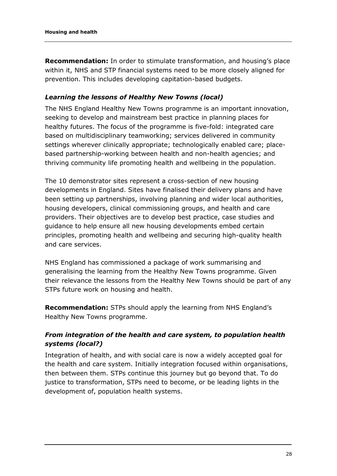**Recommendation:** In order to stimulate transformation, and housing's place within it, NHS and STP financial systems need to be more closely aligned for prevention. This includes developing capitation-based budgets.

#### *Learning the lessons of Healthy New Towns (local)*

The NHS England Healthy New Towns programme is an important innovation, seeking to develop and mainstream best practice in planning places for healthy futures. The focus of the programme is five-fold: integrated care based on multidisciplinary teamworking; services delivered in community settings wherever clinically appropriate; technologically enabled care; placebased partnership-working between health and non-health agencies; and thriving community life promoting health and wellbeing in the population.

The 10 demonstrator sites represent a cross-section of new housing developments in England. Sites have finalised their delivery plans and have been setting up partnerships, involving planning and wider local authorities, housing developers, clinical commissioning groups, and health and care providers. Their objectives are to develop best practice, case studies and guidance to help ensure all new housing developments embed certain principles, promoting health and wellbeing and securing high-quality health and care services.

NHS England has commissioned a package of work summarising and generalising the learning from the Healthy New Towns programme. Given their relevance the lessons from the Healthy New Towns should be part of any STPs future work on housing and health.

**Recommendation:** STPs should apply the learning from NHS England's Healthy New Towns programme.

#### *From integration of the health and care system, to population health systems (local?)*

Integration of health, and with social care is now a widely accepted goal for the health and care system. Initially integration focused within organisations, then between them. STPs continue this journey but go beyond that. To do justice to transformation, STPs need to become, or be leading lights in the development of, population health systems.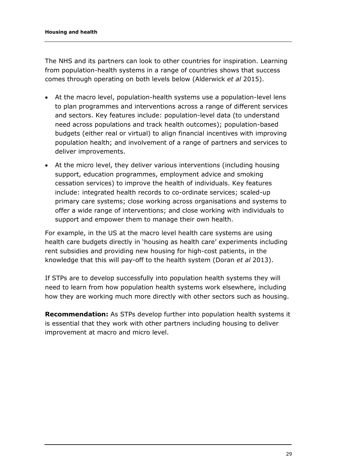The NHS and its partners can look to other countries for inspiration. Learning from population-health systems in a range of countries shows that success comes through operating on both levels below (Alderwick *et al* 2015).

- At the macro level, population-health systems use a population-level lens to plan programmes and interventions across a range of different services and sectors. Key features include: population-level data (to understand need across populations and track health outcomes); population-based budgets (either real or virtual) to align financial incentives with improving population health; and involvement of a range of partners and services to deliver improvements.
- At the micro level, they deliver various interventions (including housing support, education programmes, employment advice and smoking cessation services) to improve the health of individuals. Key features include: integrated health records to co-ordinate services; scaled-up primary care systems; close working across organisations and systems to offer a wide range of interventions; and close working with individuals to support and empower them to manage their own health.

For example, in the US at the macro level health care systems are using health care budgets directly in 'housing as health care' experiments including rent subsidies and providing new housing for high-cost patients, in the knowledge that this will pay-off to the health system (Doran *et al* 2013).

If STPs are to develop successfully into population health systems they will need to learn from how population health systems work elsewhere, including how they are working much more directly with other sectors such as housing.

**Recommendation:** As STPs develop further into population health systems it is essential that they work with other partners including housing to deliver improvement at macro and micro level.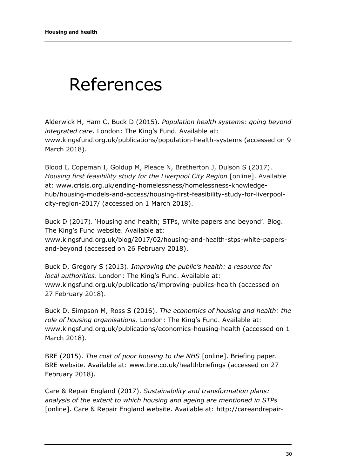# <span id="page-29-0"></span>References

Alderwick H, Ham C, Buck D (2015). *Population health systems: going beyond integrated care.* London: The King's Fund. Available at: [www.kingsfund.org.uk/publications/population-health-systems](http://www.kingsfund.org.uk/publications/population-health-systems) (accessed on 9 March 2018).

Blood I, Copeman I, Goldup M, Pleace N, Bretherton J, Dulson S (2017). *Housing first feasibility study for the Liverpool City Region* [online]. Available at: www.crisis.org.uk/ending-homelessness/homelessness-knowledgehub/housing-models-and-access/housing-first-feasibility-study-for-liverpoolcity-region-2017/ (accessed on 1 March 2018).

Buck D (2017). 'Housing and health; STPs, white papers and beyond'. Blog. The King's Fund website. Available at: [www.kingsfund.org.uk/blog/2017/02/housing-and-health-stps-white-papers](http://www.kingsfund.org.uk/blog/2017/02/housing-and-health-stps-white-papers-and-beyond)[and-beyond](http://www.kingsfund.org.uk/blog/2017/02/housing-and-health-stps-white-papers-and-beyond) (accessed on 26 February 2018).

Buck D, Gregory S (2013). *Improving the public's health: a resource for local authorities*. London: The King's Fund. Available at: [www.kingsfund.org.uk/publications/improving-publics-health](http://www.kingsfund.org.uk/publications/improving-publics-health) (accessed on 27 February 2018).

Buck D, Simpson M, Ross S (2016). *The economics of housing and health: the role of housing organisations*. London: The King's Fund. Available at: www.kingsfund.org.uk/publications/economics-housing-health (accessed on 1 March 2018).

BRE (2015). *The cost of poor housing to the NHS* [online]. Briefing paper. BRE website. Available at: www.bre.co.uk/healthbriefings (accessed on 27 February 2018).

Care & Repair England (2017). *Sustainability and transformation plans: analysis of the extent to which housing and ageing are mentioned in STPs* [online]. Care & Repair England website. Available at: [http://careandrepair-](http://careandrepair-england.org.uk/wp-content/uploads/2017/07/Integration-Briefing-4-Final.pdf)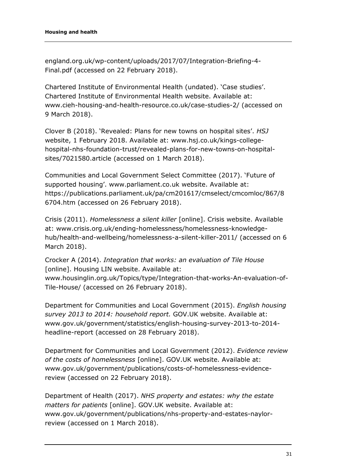[england.org.uk/wp-content/uploads/2017/07/Integration-Briefing-4-](http://careandrepair-england.org.uk/wp-content/uploads/2017/07/Integration-Briefing-4-Final.pdf) [Final.pdf](http://careandrepair-england.org.uk/wp-content/uploads/2017/07/Integration-Briefing-4-Final.pdf) (accessed on 22 February 2018).

Chartered Institute of Environmental Health (undated). 'Case studies'. Chartered Institute of Environmental Health website. Available at: [www.cieh-housing-and-health-resource.co.uk/case-studies-2/](https://kingsfund.sharepoint.com/sites/Projects/J0000730/Delivery/Housing%20STP/www.cieh-housing-and-health-resource.co.uk/case-studies-2/) (accessed on 9 March 2018).

Clover B (2018). 'Revealed: Plans for new towns on hospital sites'. *HSJ* website, 1 February 2018. Available at: [www.hsj.co.uk/kings-college](http://www.hsj.co.uk/kings-college-hospital-nhs-foundation-trust/revealed-plans-for-new-towns-on-hospital-sites/7021580.article)[hospital-nhs-foundation-trust/revealed-plans-for-new-towns-on-hospital](http://www.hsj.co.uk/kings-college-hospital-nhs-foundation-trust/revealed-plans-for-new-towns-on-hospital-sites/7021580.article)[sites/7021580.article](http://www.hsj.co.uk/kings-college-hospital-nhs-foundation-trust/revealed-plans-for-new-towns-on-hospital-sites/7021580.article) (accessed on 1 March 2018).

Communities and Local Government Select Committee (2017). 'Future of supported housing'. [www.parliament.co.uk](http://www.parliament.co.uk/) website. Available at: [https://publications.parliament.uk/pa/cm201617/cmselect/cmcomloc/867/8](https://publications.parliament.uk/pa/cm201617/cmselect/cmcomloc/867/86704.htm) [6704.htm](https://publications.parliament.uk/pa/cm201617/cmselect/cmcomloc/867/86704.htm) (accessed on 26 February 2018).

Crisis (2011). *Homelessness a silent killer* [online]. Crisis website. Available at: [www.crisis.org.uk/ending-homelessness/homelessness-knowledge](http://www.crisis.org.uk/ending-homelessness/homelessness-knowledge-hub/health-and-wellbeing/homelessness-a-silent-killer-2011/)[hub/health-and-wellbeing/homelessness-a-silent-killer-2011/](http://www.crisis.org.uk/ending-homelessness/homelessness-knowledge-hub/health-and-wellbeing/homelessness-a-silent-killer-2011/) (accessed on 6 March 2018).

Crocker A (2014). *Integration that works: an evaluation of Tile House*  [online]. Housing LIN website. Available at:

[www.housinglin.org.uk/Topics/type/Integration-that-works-An-evaluation-of-](http://www.housinglin.org.uk/Topics/type/Integration-that-works-An-evaluation-of-Tile-House/)[Tile-House/](http://www.housinglin.org.uk/Topics/type/Integration-that-works-An-evaluation-of-Tile-House/) (accessed on 26 February 2018).

Department for Communities and Local Government (2015). *English housing survey 2013 to 2014: household report.* GOV.UK website. Available at: [www.gov.uk/government/statistics/english-housing-survey-2013-to-2014](http://www.gov.uk/government/statistics/english-housing-survey-2013-to-2014-headline-report) [headline-report](http://www.gov.uk/government/statistics/english-housing-survey-2013-to-2014-headline-report) (accessed on 28 February 2018).

Department for Communities and Local Government (2012). *Evidence review of the costs of homelessness* [online]. GOV.UK website. Available at: [www.gov.uk/government/publications/costs-of-homelessness-evidence](http://www.gov.uk/government/publications/costs-of-homelessness-evidence-review)[review](http://www.gov.uk/government/publications/costs-of-homelessness-evidence-review) (accessed on 22 February 2018).

Department of Health (2017). *NHS property and estates: why the estate matters for patients* [online]. GOV.UK website. Available at: www.gov.uk/government/publications/nhs-property-and-estates-naylorreview (accessed on 1 March 2018).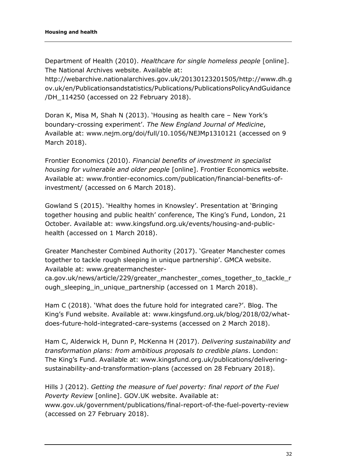Department of Health (2010). *Healthcare for single homeless people* [online]. The National Archives website. Available at:

[http://webarchive.nationalarchives.gov.uk/20130123201505/http://www.dh.g](http://webarchive.nationalarchives.gov.uk/20130123201505/http:/www.dh.gov.uk/en/Publicationsandstatistics/Publications/PublicationsPolicyAndGuidance/DH_114250) [ov.uk/en/Publicationsandstatistics/Publications/PublicationsPolicyAndGuidance](http://webarchive.nationalarchives.gov.uk/20130123201505/http:/www.dh.gov.uk/en/Publicationsandstatistics/Publications/PublicationsPolicyAndGuidance/DH_114250) [/DH\\_114250](http://webarchive.nationalarchives.gov.uk/20130123201505/http:/www.dh.gov.uk/en/Publicationsandstatistics/Publications/PublicationsPolicyAndGuidance/DH_114250) (accessed on 22 February 2018).

Doran K, Misa M, Shah N (2013). 'Housing as health care – New York's boundary-crossing experiment'. *The New England Journal of Medicine*, Available at: [www.nejm.org/doi/full/10.1056/NEJMp1310121](http://www.nejm.org/doi/full/10.1056/NEJMp1310121) (accessed on 9 March 2018).

Frontier Economics (2010). *Financial benefits of investment in specialist housing for vulnerable and older people* [online]. Frontier Economics website. Available at: [www.frontier-economics.com/publication/financial-benefits-of](http://www.frontier-economics.com/publication/financial-benefits-of-investment/)[investment/](http://www.frontier-economics.com/publication/financial-benefits-of-investment/) (accessed on 6 March 2018).

Gowland S (2015). 'Healthy homes in Knowsley'. Presentation at 'Bringing together housing and public health' conference, The King's Fund, London, 21 October. Available at: [www.kingsfund.org.uk/events/housing-and-public](http://www.kingsfund.org.uk/events/housing-and-public-health)[health](http://www.kingsfund.org.uk/events/housing-and-public-health) (accessed on 1 March 2018).

Greater Manchester Combined Authority (2017). 'Greater Manchester comes together to tackle rough sleeping in unique partnership'. GMCA website. Available at: [www.greatermanchester-](http://www.greatermanchester-ca.gov.uk/news/article/229/greater_manchester_comes_together_to_tackle_rough_sleeping_in_unique_partnership)

[ca.gov.uk/news/article/229/greater\\_manchester\\_comes\\_together\\_to\\_tackle\\_r](http://www.greatermanchester-ca.gov.uk/news/article/229/greater_manchester_comes_together_to_tackle_rough_sleeping_in_unique_partnership) [ough\\_sleeping\\_in\\_unique\\_partnership](http://www.greatermanchester-ca.gov.uk/news/article/229/greater_manchester_comes_together_to_tackle_rough_sleeping_in_unique_partnership) (accessed on 1 March 2018).

Ham C (2018). 'What does the future hold for integrated care?'. Blog. The King's Fund website. Available at: [www.kingsfund.org.uk/blog/2018/02/what](http://www.kingsfund.org.uk/blog/2018/02/what-does-future-hold-integrated-care-systems)[does-future-hold-integrated-care-systems](http://www.kingsfund.org.uk/blog/2018/02/what-does-future-hold-integrated-care-systems) (accessed on 2 March 2018).

Ham C, Alderwick H, Dunn P, McKenna H (2017). *Delivering sustainability and transformation plans: from ambitious proposals to credible plans*. London: The King's Fund. Available at: [www.kingsfund.org.uk/publications/delivering](http://www.kingsfund.org.uk/publications/delivering-sustainability-and-transformation-plans)[sustainability-and-transformation-plans](http://www.kingsfund.org.uk/publications/delivering-sustainability-and-transformation-plans) (accessed on 28 February 2018).

Hills J (2012). *Getting the measure of fuel poverty: final report of the Fuel Poverty Review* [online]. GOV.UK website. Available at: [www.gov.uk/government/publications/final-report-of-the-fuel-poverty-review](http://www.gov.uk/government/publications/final-report-of-the-fuel-poverty-review) (accessed on 27 February 2018).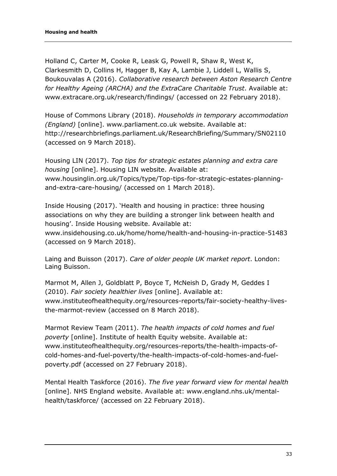Holland C, Carter M, Cooke R, Leask G, Powell R, Shaw R, West K, Clarkesmith D, Collins H, Hagger B, Kay A, Lambie J, Liddell L, Wallis S, Boukouvalas A (2016). *Collaborative research between Aston Research Centre for Healthy Ageing (ARCHA) and the ExtraCare Charitable Trust*. Available at: [www.extracare.org.uk/research/findings/](http://www.extracare.org.uk/research/findings/) (accessed on 22 February 2018).

House of Commons Library (2018). *Households in temporary accommodation (England)* [online]. [www.parliament.co.uk](http://www.parliament.co.uk/) website. Available at: <http://researchbriefings.parliament.uk/ResearchBriefing/Summary/SN02110> (accessed on 9 March 2018).

Housing LIN (2017). *Top tips for strategic estates planning and extra care housing* [online]. Housing LIN website. Available at: www.housinglin.org.uk/Topics/type/Top-tips-for-strategic-estates-planningand-extra-care-housing/ (accessed on 1 March 2018).

Inside Housing (2017). 'Health and housing in practice: three housing associations on why they are building a stronger link between health and housing'. Inside Housing website. Available at:

[www.insidehousing.co.uk/home/home/health-and-housing-in-practice-51483](http://www.insidehousing.co.uk/home/home/health-and-housing-in-practice-51483) (accessed on 9 March 2018).

Laing and Buisson (2017). *Care of older people UK market report*. London: Laing Buisson.

Marmot M, Allen J, Goldblatt P, Boyce T, McNeish D, Grady M, Geddes I (2010). *Fair society healthier lives* [online]. Available at: [www.instituteofhealthequity.org/resources-reports/fair-society-healthy-lives](http://www.instituteofhealthequity.org/resources-reports/fair-society-healthy-lives-the-marmot-review)[the-marmot-review](http://www.instituteofhealthequity.org/resources-reports/fair-society-healthy-lives-the-marmot-review) (accessed on 8 March 2018).

Marmot Review Team (2011). *The health impacts of cold homes and fuel poverty* [online]. Institute of health Equity website. Available at: [www.instituteofhealthequity.org/resources-reports/the-health-impacts-of](http://www.instituteofhealthequity.org/resources-reports/the-health-impacts-of-cold-homes-and-fuel-poverty/the-health-impacts-of-cold-homes-and-fuel-poverty.pdf)[cold-homes-and-fuel-poverty/the-health-impacts-of-cold-homes-and-fuel](http://www.instituteofhealthequity.org/resources-reports/the-health-impacts-of-cold-homes-and-fuel-poverty/the-health-impacts-of-cold-homes-and-fuel-poverty.pdf)[poverty.pdf](http://www.instituteofhealthequity.org/resources-reports/the-health-impacts-of-cold-homes-and-fuel-poverty/the-health-impacts-of-cold-homes-and-fuel-poverty.pdf) (accessed on 27 February 2018).

Mental Health Taskforce (2016). *The five year forward view for mental health* [online]. NHS England website. Available at: www.england.nhs.uk/mentalhealth/taskforce/ (accessed on 22 February 2018).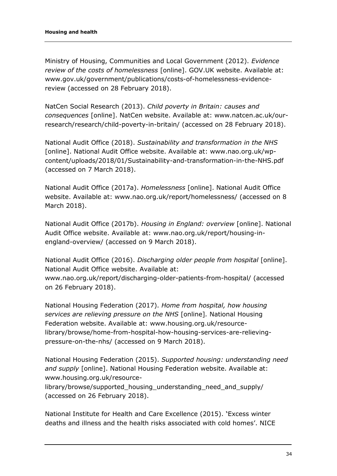Ministry of Housing, Communities and Local Government (2012). *Evidence review of the costs of homelessness* [online]. GOV.UK website. Available at: [www.gov.uk/government/publications/costs-of-homelessness-evidence](http://www.gov.uk/government/publications/costs-of-homelessness-evidence-review)[review](http://www.gov.uk/government/publications/costs-of-homelessness-evidence-review) (accessed on 28 February 2018).

NatCen Social Research (2013). *Child poverty in Britain: causes and consequences* [online]. NatCen website. Available at: [www.natcen.ac.uk/our](http://www.natcen.ac.uk/our-research/research/child-poverty-in-britain/)[research/research/child-poverty-in-britain/](http://www.natcen.ac.uk/our-research/research/child-poverty-in-britain/) (accessed on 28 February 2018).

National Audit Office (2018). *Sustainability and transformation in the NHS* [online]. National Audit Office website. Available at: [www.nao.org.uk/wp](http://www.nao.org.uk/wp-content/uploads/2018/01/Sustainability-and-transformation-in-the-NHS.pdf)[content/uploads/2018/01/Sustainability-and-transformation-in-the-NHS.pdf](http://www.nao.org.uk/wp-content/uploads/2018/01/Sustainability-and-transformation-in-the-NHS.pdf) (accessed on 7 March 2018).

National Audit Office (2017a). *Homelessness* [online]. National Audit Office website. Available at: www.nao.org.uk/report/homelessness/ (accessed on 8 March 2018).

National Audit Office (2017b). *Housing in England: overview* [online]. National Audit Office website. Available at: [www.nao.org.uk/report/housing-in](http://www.nao.org.uk/report/housing-in-england-overview/)[england-overview/](http://www.nao.org.uk/report/housing-in-england-overview/) (accessed on 9 March 2018).

National Audit Office (2016). *Discharging older people from hospital* [online]. National Audit Office website. Available at: [www.nao.org.uk/report/discharging-older-patients-from-hospital/](http://www.nao.org.uk/report/discharging-older-patients-from-hospital/) (accessed on 26 February 2018).

National Housing Federation (2017). *Home from hospital, how housing services are relieving pressure on the NHS* [online]*.* National Housing Federation website. Available at: [www.housing.org.uk/resource](http://www.housing.org.uk/resource-library/browse/home-from-hospital-how-housing-services-are-relieving-pressure-on-the-nhs/)[library/browse/home-from-hospital-how-housing-services-are-relieving](http://www.housing.org.uk/resource-library/browse/home-from-hospital-how-housing-services-are-relieving-pressure-on-the-nhs/)[pressure-on-the-nhs/](http://www.housing.org.uk/resource-library/browse/home-from-hospital-how-housing-services-are-relieving-pressure-on-the-nhs/) (accessed on 9 March 2018).

National Housing Federation (2015). *Supported housing: understanding need and supply* [online]. National Housing Federation website. Available at: www.housing.org.uk/resource-

library/browse/supported\_housing\_understanding\_need\_and\_supply/ (accessed on 26 February 2018).

National Institute for Health and Care Excellence (2015). **'**Excess winter deaths and illness and the health risks associated with cold homes'. NICE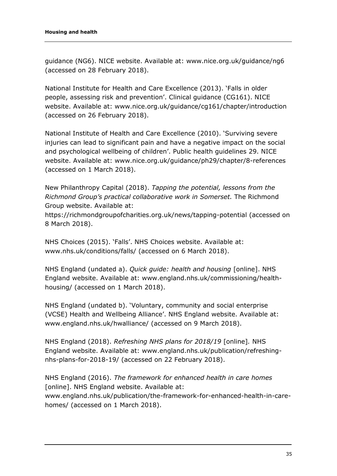guidance (NG6). NICE website. Available at: [www.nice.org.uk/guidance/ng6](http://www.nice.org.uk/guidance/ng6) (accessed on 28 February 2018).

National Institute for Health and Care Excellence (2013). 'Falls in older people, assessing risk and prevention'. Clinical guidance (CG161). NICE website. Available at: [www.nice.org.uk/guidance/cg161/chapter/introduction](http://www.nice.org.uk/guidance/cg161/chapter/introduction) (accessed on 26 February 2018).

National Institute of Health and Care Excellence (2010). 'Surviving severe injuries can lead to significant pain and have a negative impact on the social and psychological wellbeing of children'. Public health guidelines 29. NICE website. Available at: [www.nice.org.uk/guidance/ph29/chapter/8-references](http://www.nice.org.uk/guidance/ph29/chapter/8-references) (accessed on 1 March 2018).

New Philanthropy Capital (2018). *Tapping the potential, lessons from the Richmond Group's practical collaborative work in Somerset.* The Richmond Group website. Available at:

<https://richmondgroupofcharities.org.uk/news/tapping-potential> (accessed on 8 March 2018).

NHS Choices (2015). 'Falls'. NHS Choices website. Available at: [www.nhs.uk/conditions/falls/](https://kingsfund.sharepoint.com/sites/Projects/J0000730/Delivery/Housing%20STP/www.nhs.uk/conditions/falls/) (accessed on 6 March 2018).

NHS England (undated a). *Quick guide: health and housing* [online]. NHS England website. Available at: [www.england.nhs.uk/commissioning/health](http://www.england.nhs.uk/commissioning/health-housing/)[housing/](http://www.england.nhs.uk/commissioning/health-housing/) (accessed on 1 March 2018).

NHS England (undated b). 'Voluntary, community and social enterprise (VCSE) Health and Wellbeing Alliance'. NHS England website. Available at: [www.england.nhs.uk/hwalliance/](http://www.england.nhs.uk/hwalliance/) (accessed on 9 March 2018).

NHS England (2018). *Refreshing NHS plans for 2018/19* [online]*.* NHS England website. Available at: [www.england.nhs.uk/publication/refreshing](http://www.england.nhs.uk/publication/refreshing-nhs-plans-for-2018-19/)[nhs-plans-for-2018-19/](http://www.england.nhs.uk/publication/refreshing-nhs-plans-for-2018-19/) (accessed on 22 February 2018).

NHS England (2016). *The framework for enhanced health in care homes* [online]. NHS England website. Available at: www.england.nhs.uk/publication/the-framework-for-enhanced-health-in-carehomes/ (accessed on 1 March 2018).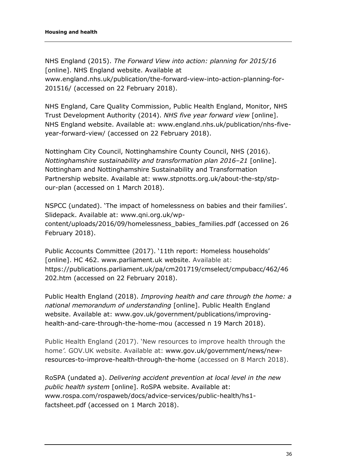NHS England (2015). *The Forward View into action: planning for 2015/16*  [online]. NHS England website. Available at [www.england.nhs.uk/publication/the-forward-view-into-action-planning-for-](http://www.england.nhs.uk/publication/the-forward-view-into-action-planning-for-201516/)[201516/](http://www.england.nhs.uk/publication/the-forward-view-into-action-planning-for-201516/) (accessed on 22 February 2018).

NHS England, Care Quality Commission, Public Health England, Monitor, NHS Trust Development Authority (2014). *NHS five year forward view* [online]. NHS England website. Available at: [www.england.nhs.uk/publication/nhs-five](http://www.england.nhs.uk/publication/nhs-five-year-forward-view/)[year-forward-view/](http://www.england.nhs.uk/publication/nhs-five-year-forward-view/) (accessed on 22 February 2018).

Nottingham City Council, Nottinghamshire County Council, NHS (2016). *Nottinghamshire sustainability and transformation plan 2016–21* [online]. Nottingham and Nottinghamshire Sustainability and Transformation Partnership website. Available at: www.stpnotts.org.uk/about-the-stp/stpour-plan (accessed on 1 March 2018).

NSPCC (undated). 'The impact of homelessness on babies and their families'. Slidepack. Available at: [www.qni.org.uk/wp](http://www.qni.org.uk/wp-content/uploads/2016/09/homelessness_babies_families.pdf)[content/uploads/2016/09/homelessness\\_babies\\_families.pdf](http://www.qni.org.uk/wp-content/uploads/2016/09/homelessness_babies_families.pdf) (accessed on 26 February 2018).

Public Accounts Committee (2017). '11th report: Homeless households' [online]. HC 462. [www.parliament.uk](http://www.parliament.uk/) website. Available at: [https://publications.parliament.uk/pa/cm201719/cmselect/cmpubacc/462/46](https://publications.parliament.uk/pa/cm201719/cmselect/cmpubacc/462/46202.htm) [202.htm](https://publications.parliament.uk/pa/cm201719/cmselect/cmpubacc/462/46202.htm) (accessed on 22 February 2018).

Public Health England (2018). *Improving health and care through the home: a national memorandum of understanding* [online]. Public Health England website. Available at: [www.gov.uk/government/publications/improving](http://www.gov.uk/government/publications/improving-health-and-care-through-the-home-mou)[health-and-care-through-the-home-mou](http://www.gov.uk/government/publications/improving-health-and-care-through-the-home-mou) (accessed n 19 March 2018).

Public Health England (2017). 'New resources to improve health through the home*'.* GOV.UK website. Available at: [www.gov.uk/government/news/new](http://www.gov.uk/government/news/new-resources-to-improve-health-through-the-home)[resources-to-improve-health-through-the-home](http://www.gov.uk/government/news/new-resources-to-improve-health-through-the-home) (accessed on 8 March 2018).

RoSPA (undated a). *Delivering accident prevention at local level in the new public health system* [online]. RoSPA website. Available at: [www.rospa.com/rospaweb/docs/advice-services/public-health/hs1](http://www.rospa.com/rospaweb/docs/advice-services/public-health/hs1-factsheet.pdf) [factsheet.pdf](http://www.rospa.com/rospaweb/docs/advice-services/public-health/hs1-factsheet.pdf) (accessed on 1 March 2018).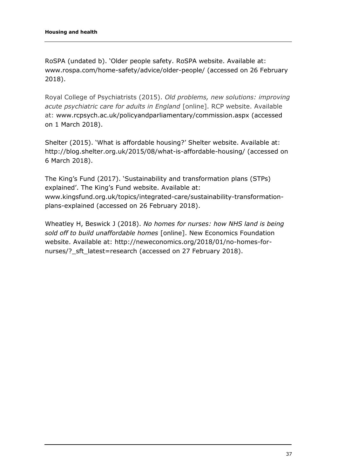RoSPA (undated b). 'Older people safety. RoSPA website. Available at: [www.rospa.com/home-safety/advice/older-people/](http://www.rospa.com/home-safety/advice/older-people/) (accessed on 26 February 2018).

Royal College of Psychiatrists (2015). *Old problems, new solutions: improving acute psychiatric care for adults in England* [online]. RCP website. Available at: [www.rcpsych.ac.uk/policyandparliamentary/commission.aspx](http://www.rcpsych.ac.uk/policyandparliamentary/commission.aspx) (accessed on 1 March 2018).

Shelter (2015). 'What is affordable housing?' Shelter website. Available at: <http://blog.shelter.org.uk/2015/08/what-is-affordable-housing/> (accessed on 6 March 2018).

The King's Fund (2017). 'Sustainability and transformation plans (STPs) explained'. The King's Fund website. Available at: [www.kingsfund.org.uk/topics/integrated-care/sustainability-transformation](https://www.kingsfund.org.uk/topics/integrated-care/sustainability-transformation-plans-explained)[plans-explained](https://www.kingsfund.org.uk/topics/integrated-care/sustainability-transformation-plans-explained) (accessed on 26 February 2018).

Wheatley H, Beswick J (2018). *No homes for nurses: how NHS land is being sold off to build unaffordable homes* [online]. New Economics Foundation website. Available at: http://neweconomics.org/2018/01/no-homes-fornurses/?\_sft\_latest=research (accessed on 27 February 2018).